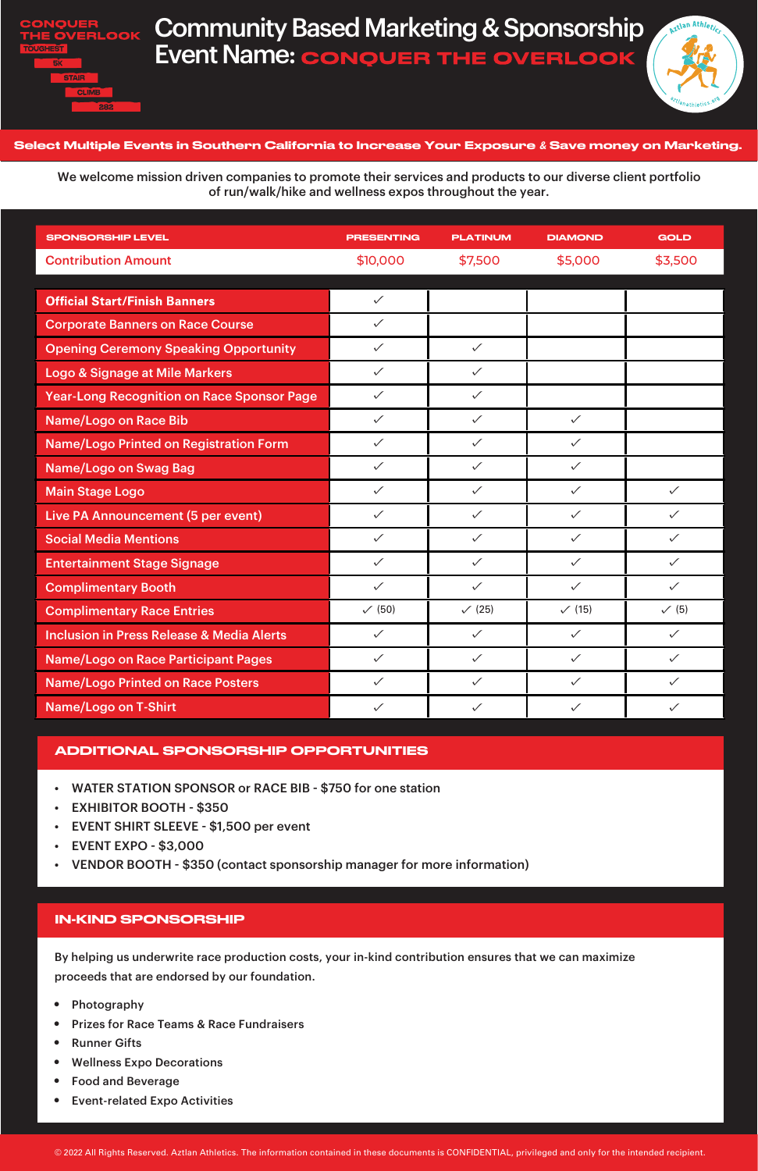

## Community Based Marketing & Sponsorship Event Name: CONQUER THE OVERLOOK



By helping us underwrite race production costs, your in-kind contribution ensures that we can maximize proceeds that are endorsed by our foundation.

| <b>SPONSORSHIP LEVEL</b>                             | <b>PRESENTING</b> | <b>PLATINUM</b> | <b>DIAMOND</b> | <b>GOLD</b>  |
|------------------------------------------------------|-------------------|-----------------|----------------|--------------|
| <b>Contribution Amount</b>                           | \$10,000          | \$7,500         | \$5,000        | \$3,500      |
|                                                      |                   |                 |                |              |
| <b>Official Start/Finish Banners</b>                 | $\checkmark$      |                 |                |              |
| <b>Corporate Banners on Race Course</b>              | $\checkmark$      |                 |                |              |
| <b>Opening Ceremony Speaking Opportunity</b>         | $\checkmark$      | $\checkmark$    |                |              |
| <b>Logo &amp; Signage at Mile Markers</b>            | $\checkmark$      | $\checkmark$    |                |              |
| <b>Year-Long Recognition on Race Sponsor Page</b>    | $\checkmark$      | $\checkmark$    |                |              |
| <b>Name/Logo on Race Bib</b>                         | $\checkmark$      | $\checkmark$    | $\checkmark$   |              |
| <b>Name/Logo Printed on Registration Form</b>        | $\checkmark$      | $\checkmark$    | $\checkmark$   |              |
| <b>Name/Logo on Swag Bag</b>                         | $\checkmark$      | $\checkmark$    | $\checkmark$   |              |
| <b>Main Stage Logo</b>                               | $\checkmark$      | $\checkmark$    | $\checkmark$   | $\checkmark$ |
| Live PA Announcement (5 per event)                   | $\checkmark$      | $\checkmark$    | $\checkmark$   | $\checkmark$ |
| <b>Social Media Mentions</b>                         | $\checkmark$      | $\checkmark$    | $\checkmark$   | $\checkmark$ |
| <b>Entertainment Stage Signage</b>                   | $\checkmark$      | $\checkmark$    | $\checkmark$   | $\checkmark$ |
| <b>Complimentary Booth</b>                           | $\checkmark$      | $\checkmark$    | $\checkmark$   | $\checkmark$ |
| <b>Complimentary Race Entries</b>                    | $\checkmark$ (50) | (25)            | (15)           | $\sqrt{(5)}$ |
| <b>Inclusion in Press Release &amp; Media Alerts</b> | $\checkmark$      | $\checkmark$    | $\checkmark$   | $\checkmark$ |
| <b>Name/Logo on Race Participant Pages</b>           | $\checkmark$      | $\checkmark$    | $\checkmark$   | $\checkmark$ |
| <b>Name/Logo Printed on Race Posters</b>             | $\checkmark$      | $\checkmark$    | $\checkmark$   | $\checkmark$ |
| <b>Name/Logo on T-Shirt</b>                          | $\checkmark$      | $\checkmark$    | $\checkmark$   | $\checkmark$ |

- Photography
- Prizes for Race Teams & Race Fundraisers
- Runner Gifts
- Wellness Expo Decorations
- Food and Beverage
- Event-related Expo Activities

### Select Multiple Events in Southern California to Increase Your Exposure *&* Save money on Marketing.

We welcome mission driven companies to promote their services and products to our diverse client portfolio of run/walk/hike and wellness expos throughout the year.

- WATER STATION SPONSOR or RACE BIB \$750 for one station
- EXHIBITOR BOOTH \$350
- EVENT SHIRT SLEEVE \$1,500 per event
- EVENT EXPO \$3,000
- 

• VENDOR BOOTH - \$350 (contact sponsorship manager for more information)

## ADDITIONAL SPONSORSHIP OPPORTUNITIES

### IN-KIND SPONSORSHIP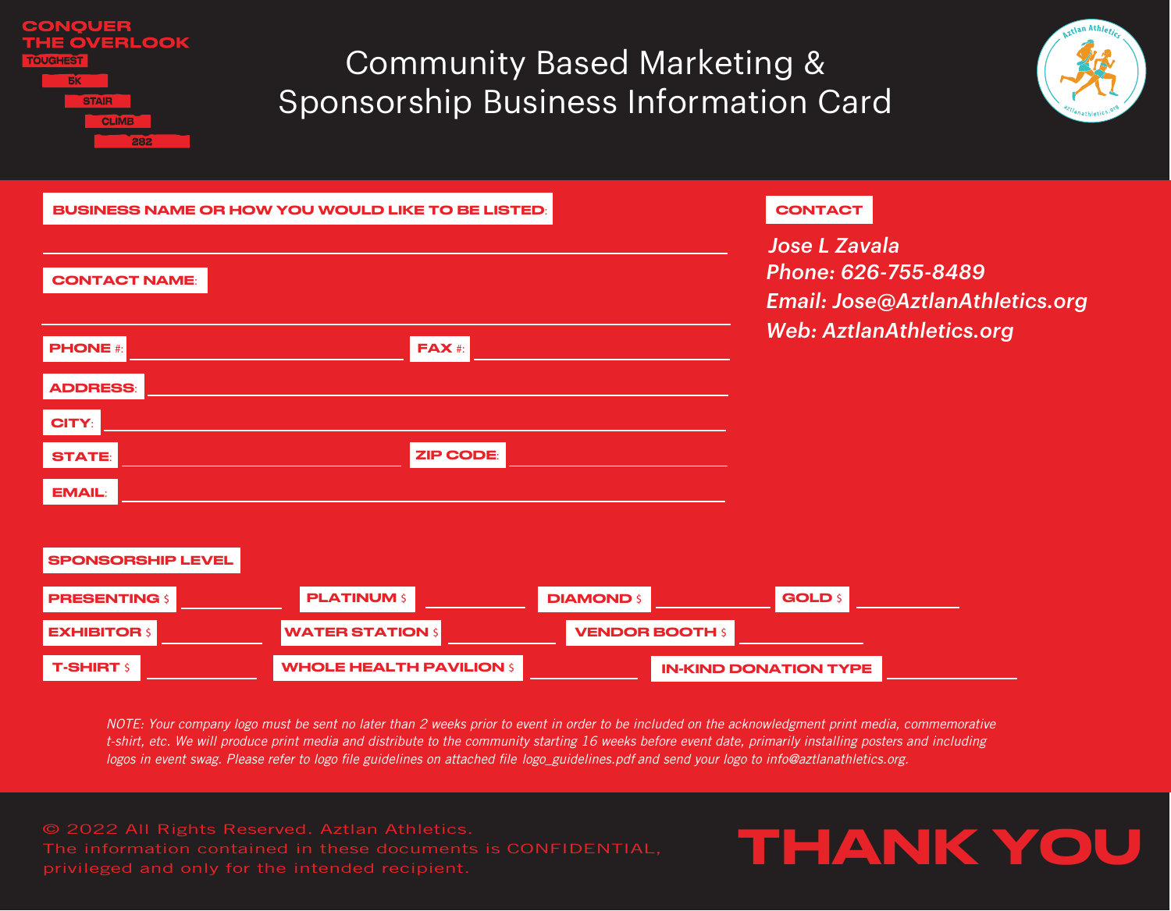RLOOK **BK** 

## Community Based Marketing & Sponsorship Business Information Card



|                          | <b>BUSINESS NAME OR HOW YOU WOULD LIKE TO BE LISTED:</b> |                        |  | <b>CONTACT</b>                                                                 |                                 |  |
|--------------------------|----------------------------------------------------------|------------------------|--|--------------------------------------------------------------------------------|---------------------------------|--|
|                          |                                                          |                        |  | <b>Jose L Zavala</b><br>Phone: 626-755-8489<br>Email: Jose@AztlanAthletics.org |                                 |  |
| <b>CONTACT NAME:</b>     |                                                          |                        |  |                                                                                |                                 |  |
|                          |                                                          |                        |  |                                                                                | <b>Web: AztlanAthletics.org</b> |  |
| <b>PHONE</b> #:          | <b>FAX</b> #:                                            |                        |  |                                                                                |                                 |  |
| <b>ADDRESS:</b>          |                                                          |                        |  |                                                                                |                                 |  |
| CITY:                    |                                                          |                        |  |                                                                                |                                 |  |
| <b>STATE:</b>            | <b>ZIP CODE:</b>                                         |                        |  |                                                                                |                                 |  |
| <b>EMAIL:</b>            |                                                          |                        |  |                                                                                |                                 |  |
|                          |                                                          |                        |  |                                                                                |                                 |  |
| <b>SPONSORSHIP LEVEL</b> |                                                          |                        |  |                                                                                |                                 |  |
| <b>PRESENTING \$</b>     | <b>PLATINUM \$</b>                                       | <b>DIAMOND \$</b>      |  | <b>GOLD \$</b>                                                                 |                                 |  |
| <b>EXHIBITOR \$</b>      | <b>WATER STATION \$</b>                                  | <b>VENDOR BOOTH \$</b> |  |                                                                                |                                 |  |
| <b>T-SHIRT S</b>         | <b>WHOLE HEALTH PAVILION \$</b>                          |                        |  | <b>IN-KIND DONATION TYPE</b>                                                   |                                 |  |

*NOTE: Your company logo must be sent no later than 2 weeks prior to event in order to be included on the acknowledgment print media, commemorative t-shirt, etc. We will produce print media and distribute to the community starting 16 weeks before event date, primarily installing posters and including logos in event swag. Please refer to logo file guidelines on attached file logo\_guidelines.pdf and send your logo to info@aztlanathletics.org.*

privileged and only for the intended recipient.

# THANK YOU